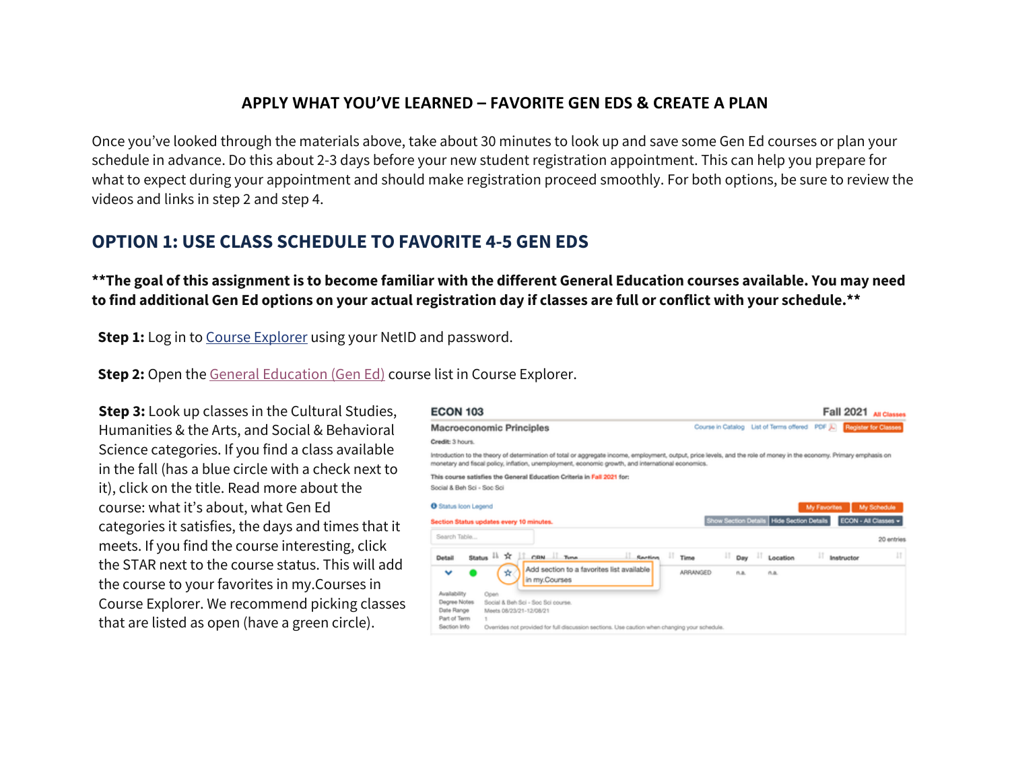## **APPLY WHAT YOU'VE LEARNED – FAVORITE GEN EDS & CREATE A PLAN**

Once you've looked through the materials above, take about 30 minutes to look up and save some Gen Ed courses or plan your schedule in advance. Do this about 2-3 days before your new student registration appointment. This can help you prepare for what to expect during your appointment and should make registration proceed smoothly. For both options, be sure to review the videos and links in step 2 and step 4.

## **OPTION 1: USE CLASS SCHEDULE TO FAVORITE 4-5 GEN EDS**

**\*\*The goal of this assignment is to become familiar with the different General Education courses available. You may need to find additional Gen Ed options on your actual registration day if classes are full or conflict with your schedule.\*\***

**Step 1:** Log in to Course Explorer using your NetID and password.

**Step 2:** Open the General Education (Gen Ed) course list in Course Explorer.

**Step 3:** Look up classes in the Cultural Studies, Humanities & the Arts, and Social & Behavioral Science categories. If you find a class available in the fall (has a blue circle with a check next to it), click on the title. Read more about the course: what it's about, what Gen Ed categories it satisfies, the days and times that it meets. If you find the course interesting, click the STAR next to the course status. This will add the course to your favorites in my.Courses in Course Explorer. We recommend picking classes that are listed as open (have a green circle).

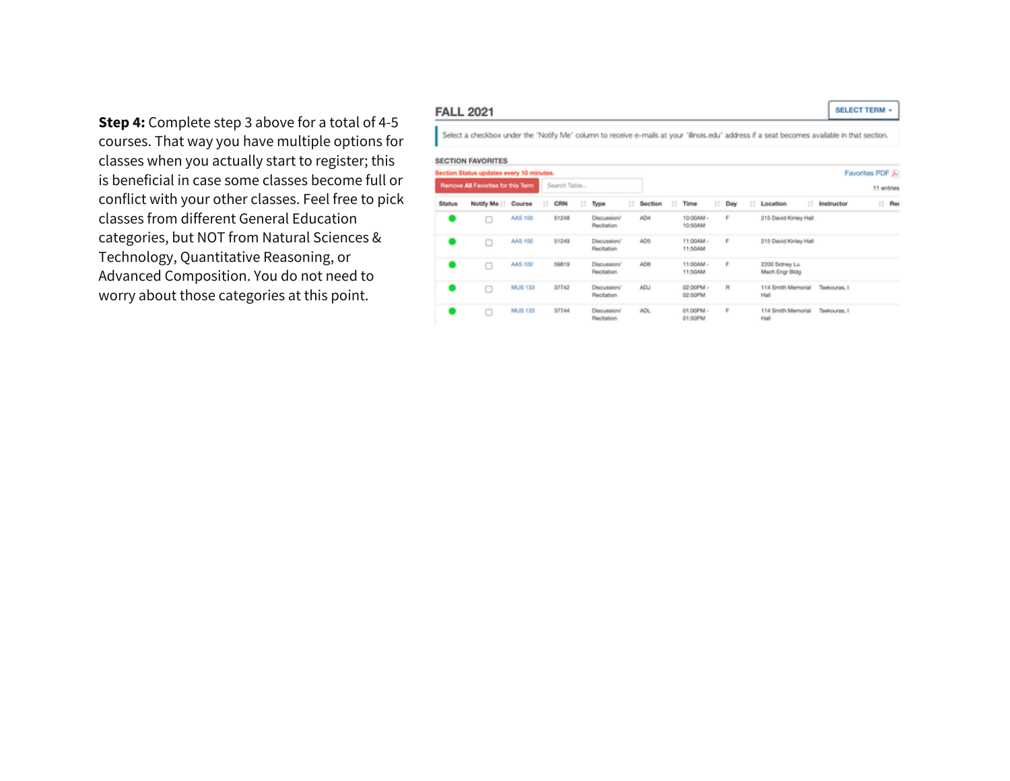Step 4: Complete step 3 above for a total of 4-5 courses. That way you have multiple options for classes when you actually start to register; this is beneficial in case some classes become full or conflict with your other classes. Feel free to pick classes from different General Education categories, but NOT from Natural Sciences & Technology, Quantitative Reasoning, or Advanced Composition. You do not need to worry about those categories at this point.

### **FALL 2021**

Select a checkbox under the 'Notify Me' column to receive e-mals at your 'illnois.edu' address if a seat becomes available in that section.

#### **SECTION FAVORITES**

| Favorites PDF<br>Section Status updates every 10 minutes. |              |   |                                  |   |     |    |                      |   |         |   |                                                    |   |       |   |         |           |               |
|-----------------------------------------------------------|--------------|---|----------------------------------|---|-----|----|----------------------|---|---------|---|----------------------------------------------------|---|-------|---|---------|-----------|---------------|
| 11 entries                                                |              |   |                                  |   |     |    |                      |   |         |   | Remove All Favorites for this Term<br>Search Table |   |       |   |         |           |               |
| и<br>Ret                                                  | Instructor   | ш | Location                         | и | Day | 11 | Time                 | ш | Section | ш | Type                                               | и | CRN   | Ш | Course  | Notify Me | <b>Status</b> |
|                                                           |              |   | 215 David Kinley Hall            |   | F   |    | 10:00AM -<br>10:50AM |   | AD4     |   | <b>Discussion/</b><br>Recitation                   |   | 51248 |   | AAS 100 | O         |               |
|                                                           |              |   | 215 David Kinley Hall            |   | F   |    | 11:00AM -<br>11:50AM |   | AD5     |   | Discussion/<br>Recitation                          |   | 51249 |   | AAS 100 |           |               |
|                                                           |              |   | 2200 Sidney Lu<br>Mech Engr Bldg |   | r   |    | 11:00AM -<br>11:50AM |   | AD8     |   | Discussion/<br>Recitation                          |   | 59819 |   | AAS 100 |           |               |
|                                                           | Tsekouras, I |   | 114 Smith Memorial<br>Hall       |   | R   |    | 02:00PM -<br>02:50PM |   | ADJ.    |   | Discussion/<br>Recitation                          |   | 37742 |   | MUS 133 | Ω         |               |
|                                                           | Tsekouras, I |   | 114 Smith Memorial<br>Hall       |   | F   |    | 01:00PM -<br>01:50PM |   | ADL.    |   | Discussion/<br>Recitation                          |   | 37744 |   | MUS 133 |           |               |

#### **SELECT TERM -**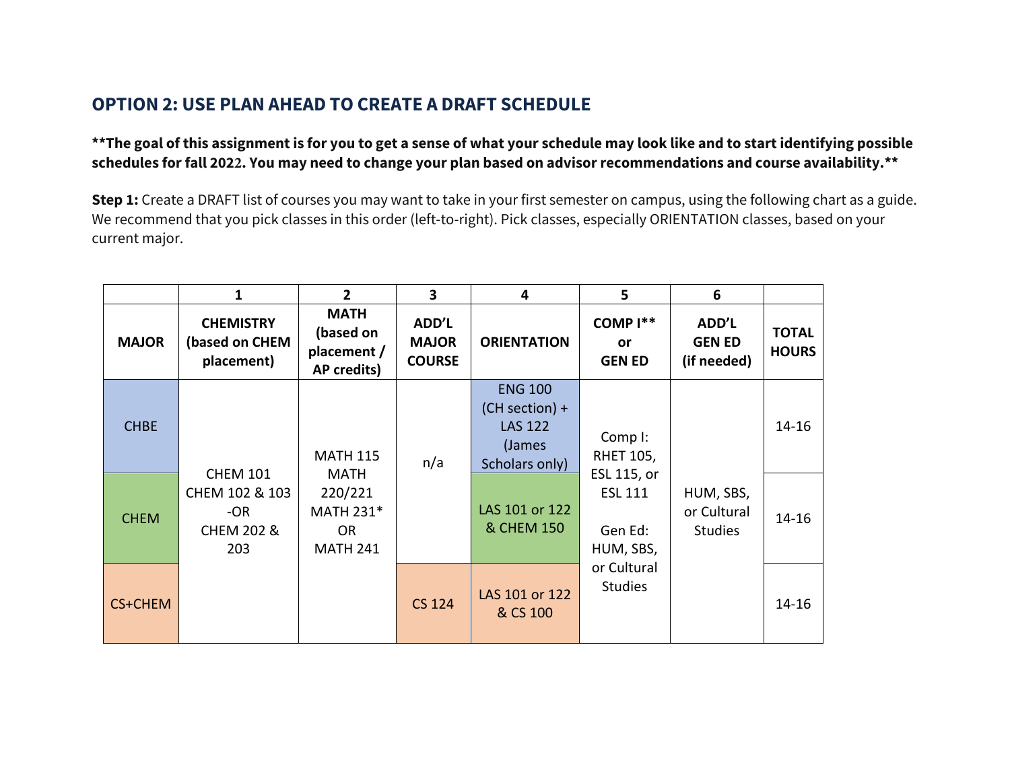# **OPTION 2: USE PLAN AHEAD TO CREATE A DRAFT SCHEDULE**

### **\*\*The goal of this assignment is for you to get a sense of what your schedule may look like and to start identifying possible schedules for fall 2022. You may need to change your plan based on advisor recommendations and course availability.\*\***

**Step 1:** Create a DRAFT list of courses you may want to take in your first semester on campus, using the following chart as a guide. We recommend that you pick classes in this order (left-to-right). Pick classes, especially ORIENTATION classes, based on your current major.

|                | 1                                                                          | $\overline{2}$                                                                         | 3                                      | 4                                                                                | 5                                                                                    | 6                                          |                              |
|----------------|----------------------------------------------------------------------------|----------------------------------------------------------------------------------------|----------------------------------------|----------------------------------------------------------------------------------|--------------------------------------------------------------------------------------|--------------------------------------------|------------------------------|
| <b>MAJOR</b>   | <b>CHEMISTRY</b><br>(based on CHEM<br>placement)                           | <b>MATH</b><br>(based on<br>placement /<br>AP credits)                                 | ADD'L<br><b>MAJOR</b><br><b>COURSE</b> | <b>ORIENTATION</b>                                                               | COMP <sup>1**</sup><br>or<br><b>GEN ED</b>                                           | ADD'L<br><b>GEN ED</b><br>(if needed)      | <b>TOTAL</b><br><b>HOURS</b> |
| <b>CHBE</b>    | <b>CHEM 101</b><br>CHEM 102 & 103<br>$-OR$<br><b>CHEM 202 &amp;</b><br>203 | <b>MATH 115</b><br><b>MATH</b><br>220/221<br>MATH 231*<br><b>OR</b><br><b>MATH 241</b> | n/a                                    | <b>ENG 100</b><br>$(CH section) +$<br><b>LAS 122</b><br>(James<br>Scholars only) | Comp I:<br><b>RHET 105,</b><br>ESL 115, or<br><b>ESL 111</b><br>Gen Ed:<br>HUM, SBS, | HUM, SBS,<br>or Cultural<br><b>Studies</b> | $14 - 16$                    |
| <b>CHEM</b>    |                                                                            |                                                                                        |                                        | LAS 101 or 122<br>& CHEM 150                                                     |                                                                                      |                                            | $14 - 16$                    |
| <b>CS+CHEM</b> |                                                                            |                                                                                        | <b>CS 124</b>                          | LAS 101 or 122<br>& CS 100                                                       | or Cultural<br><b>Studies</b>                                                        |                                            | 14-16                        |